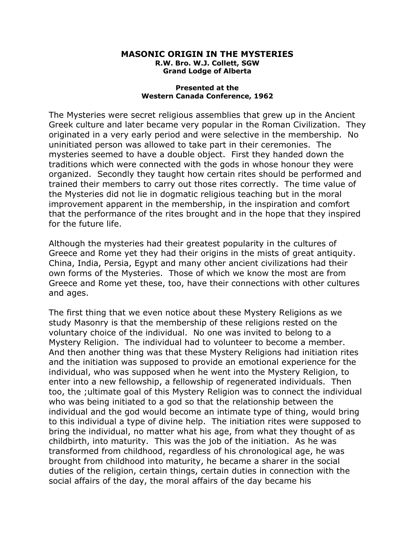## **MASONIC ORIGIN IN THE MYSTERIES R.W. Bro. W.J. Collett, SGW Grand Lodge of Alberta**

## **Presented at the Western Canada Conference, 1962**

The Mysteries were secret religious assemblies that grew up in the Ancient Greek culture and later became very popular in the Roman Civilization. They originated in a very early period and were selective in the membership. No uninitiated person was allowed to take part in their ceremonies. The mysteries seemed to have a double object. First they handed down the traditions which were connected with the gods in whose honour they were organized. Secondly they taught how certain rites should be performed and trained their members to carry out those rites correctly. The time value of the Mysteries did not lie in dogmatic religious teaching but in the moral improvement apparent in the membership, in the inspiration and comfort that the performance of the rites brought and in the hope that they inspired for the future life.

Although the mysteries had their greatest popularity in the cultures of Greece and Rome yet they had their origins in the mists of great antiquity. China, India, Persia, Egypt and many other ancient civilizations had their own forms of the Mysteries. Those of which we know the most are from Greece and Rome yet these, too, have their connections with other cultures and ages.

The first thing that we even notice about these Mystery Religions as we study Masonry is that the membership of these religions rested on the voluntary choice of the individual. No one was invited to belong to a Mystery Religion. The individual had to volunteer to become a member. And then another thing was that these Mystery Religions had initiation rites and the initiation was supposed to provide an emotional experience for the individual, who was supposed when he went into the Mystery Religion, to enter into a new fellowship, a fellowship of regenerated individuals. Then too, the ;ultimate goal of this Mystery Religion was to connect the individual who was being initiated to a god so that the relationship between the individual and the god would become an intimate type of thing, would bring to this individual a type of divine help. The initiation rites were supposed to bring the individual, no matter what his age, from what they thought of as childbirth, into maturity. This was the job of the initiation. As he was transformed from childhood, regardless of his chronological age, he was brought from childhood into maturity, he became a sharer in the social duties of the religion, certain things, certain duties in connection with the social affairs of the day, the moral affairs of the day became his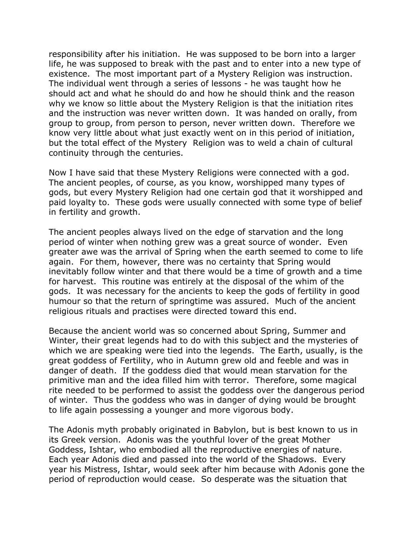responsibility after his initiation. He was supposed to be born into a larger life, he was supposed to break with the past and to enter into a new type of existence. The most important part of a Mystery Religion was instruction. The individual went through a series of lessons - he was taught how he should act and what he should do and how he should think and the reason why we know so little about the Mystery Religion is that the initiation rites and the instruction was never written down. It was handed on orally, from group to group, from person to person, never written down. Therefore we know very little about what just exactly went on in this period of initiation, but the total effect of the Mystery Religion was to weld a chain of cultural continuity through the centuries.

Now I have said that these Mystery Religions were connected with a god. The ancient peoples, of course, as you know, worshipped many types of gods, but every Mystery Religion had one certain god that it worshipped and paid loyalty to. These gods were usually connected with some type of belief in fertility and growth.

The ancient peoples always lived on the edge of starvation and the long period of winter when nothing grew was a great source of wonder. Even greater awe was the arrival of Spring when the earth seemed to come to life again. For them, however, there was no certainty that Spring would inevitably follow winter and that there would be a time of growth and a time for harvest. This routine was entirely at the disposal of the whim of the gods. It was necessary for the ancients to keep the gods of fertility in good humour so that the return of springtime was assured. Much of the ancient religious rituals and practises were directed toward this end.

Because the ancient world was so concerned about Spring, Summer and Winter, their great legends had to do with this subject and the mysteries of which we are speaking were tied into the legends. The Earth, usually, is the great goddess of Fertility, who in Autumn grew old and feeble and was in danger of death. If the goddess died that would mean starvation for the primitive man and the idea filled him with terror. Therefore, some magical rite needed to be performed to assist the goddess over the dangerous period of winter. Thus the goddess who was in danger of dying would be brought to life again possessing a younger and more vigorous body.

The Adonis myth probably originated in Babylon, but is best known to us in its Greek version. Adonis was the youthful lover of the great Mother Goddess, Ishtar, who embodied all the reproductive energies of nature. Each year Adonis died and passed into the world of the Shadows. Every year his Mistress, Ishtar, would seek after him because with Adonis gone the period of reproduction would cease. So desperate was the situation that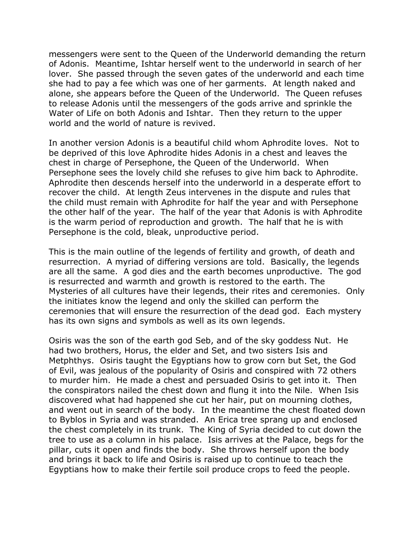messengers were sent to the Queen of the Underworld demanding the return of Adonis. Meantime, Ishtar herself went to the underworld in search of her lover. She passed through the seven gates of the underworld and each time she had to pay a fee which was one of her garments. At length naked and alone, she appears before the Queen of the Underworld. The Queen refuses to release Adonis until the messengers of the gods arrive and sprinkle the Water of Life on both Adonis and Ishtar. Then they return to the upper world and the world of nature is revived.

In another version Adonis is a beautiful child whom Aphrodite loves. Not to be deprived of this love Aphrodite hides Adonis in a chest and leaves the chest in charge of Persephone, the Queen of the Underworld. When Persephone sees the lovely child she refuses to give him back to Aphrodite. Aphrodite then descends herself into the underworld in a desperate effort to recover the child. At length Zeus intervenes in the dispute and rules that the child must remain with Aphrodite for half the year and with Persephone the other half of the year. The half of the year that Adonis is with Aphrodite is the warm period of reproduction and growth. The half that he is with Persephone is the cold, bleak, unproductive period.

This is the main outline of the legends of fertility and growth, of death and resurrection. A myriad of differing versions are told. Basically, the legends are all the same. A god dies and the earth becomes unproductive. The god is resurrected and warmth and growth is restored to the earth. The Mysteries of all cultures have their legends, their rites and ceremonies. Only the initiates know the legend and only the skilled can perform the ceremonies that will ensure the resurrection of the dead god. Each mystery has its own signs and symbols as well as its own legends.

Osiris was the son of the earth god Seb, and of the sky goddess Nut. He had two brothers, Horus, the elder and Set, and two sisters Isis and Metphthys. Osiris taught the Egyptians how to grow corn but Set, the God of Evil, was jealous of the popularity of Osiris and conspired with 72 others to murder him. He made a chest and persuaded Osiris to get into it. Then the conspirators nailed the chest down and flung it into the Nile. When Isis discovered what had happened she cut her hair, put on mourning clothes, and went out in search of the body. In the meantime the chest floated down to Byblos in Syria and was stranded. An Erica tree sprang up and enclosed the chest completely in its trunk. The King of Syria decided to cut down the tree to use as a column in his palace. Isis arrives at the Palace, begs for the pillar, cuts it open and finds the body. She throws herself upon the body and brings it back to life and Osiris is raised up to continue to teach the Egyptians how to make their fertile soil produce crops to feed the people.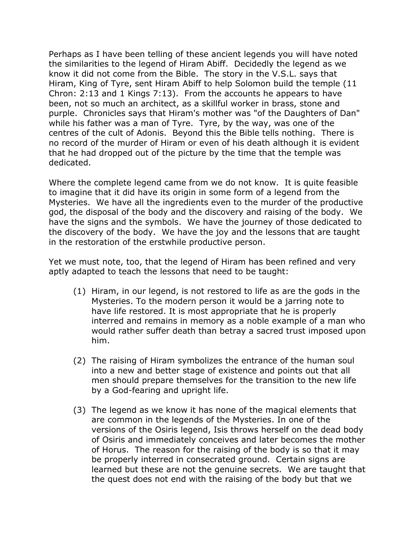Perhaps as I have been telling of these ancient legends you will have noted the similarities to the legend of Hiram Abiff. Decidedly the legend as we know it did not come from the Bible. The story in the V.S.L. says that Hiram, King of Tyre, sent Hiram Abiff to help Solomon build the temple (11 Chron: 2:13 and 1 Kings 7:13). From the accounts he appears to have been, not so much an architect, as a skillful worker in brass, stone and purple. Chronicles says that Hiram's mother was "of the Daughters of Dan" while his father was a man of Tyre. Tyre, by the way, was one of the centres of the cult of Adonis. Beyond this the Bible tells nothing. There is no record of the murder of Hiram or even of his death although it is evident that he had dropped out of the picture by the time that the temple was dedicated.

Where the complete legend came from we do not know. It is quite feasible to imagine that it did have its origin in some form of a legend from the Mysteries. We have all the ingredients even to the murder of the productive god, the disposal of the body and the discovery and raising of the body. We have the signs and the symbols. We have the journey of those dedicated to the discovery of the body. We have the joy and the lessons that are taught in the restoration of the erstwhile productive person.

Yet we must note, too, that the legend of Hiram has been refined and very aptly adapted to teach the lessons that need to be taught:

- (1) Hiram, in our legend, is not restored to life as are the gods in the Mysteries. To the modern person it would be a jarring note to have life restored. It is most appropriate that he is properly interred and remains in memory as a noble example of a man who would rather suffer death than betray a sacred trust imposed upon him.
- (2) The raising of Hiram symbolizes the entrance of the human soul into a new and better stage of existence and points out that all men should prepare themselves for the transition to the new life by a God-fearing and upright life.
- (3) The legend as we know it has none of the magical elements that are common in the legends of the Mysteries. In one of the versions of the Osiris legend, Isis throws herself on the dead body of Osiris and immediately conceives and later becomes the mother of Horus. The reason for the raising of the body is so that it may be properly interred in consecrated ground. Certain signs are learned but these are not the genuine secrets. We are taught that the quest does not end with the raising of the body but that we